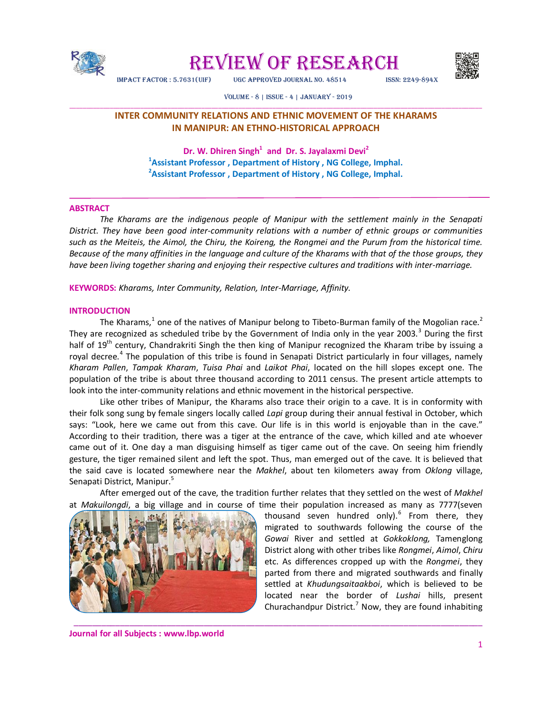

REVIEW OF RESEARCH



impact factOR : 5.7631(Uif) UGc appROved JOURnal nO. 48514 issn: 2249-894X

#### vOlUme - 8 | issUe - 4 | JanUaRy - 2019

# \_\_\_\_\_\_\_\_\_\_\_\_\_\_\_\_\_\_\_\_\_\_\_\_\_\_\_\_\_\_\_\_\_\_\_\_\_\_\_\_\_\_\_\_\_\_\_\_\_\_\_\_\_\_\_\_\_\_\_\_\_\_\_\_\_\_\_\_\_\_\_\_\_\_\_\_\_\_\_\_\_\_\_\_\_\_\_\_\_\_\_\_\_\_\_\_\_\_\_\_\_\_\_\_\_\_\_\_\_\_\_\_\_\_\_\_\_\_\_\_\_\_ **INTER COMMUNITY RELATIONS AND ETHNIC MOVEMENT OF THE KHARAMS IN MANIPUR: AN ETHNO-HISTORICAL APPROACH**

**Dr. W. Dhiren Singh<sup>1</sup> and Dr. S. Jayalaxmi Devi<sup>2</sup> <sup>1</sup>Assistant Professor , Department of History , NG College, Imphal. 2 Assistant Professor , Department of History , NG College, Imphal.**

## **ABSTRACT**

*The Kharams are the indigenous people of Manipur with the settlement mainly in the Senapati District. They have been good inter-community relations with a number of ethnic groups or communities such as the Meiteis, the Aimol, the Chiru, the Koireng, the Rongmei and the Purum from the historical time. Because of the many affinities in the language and culture of the Kharams with that of the those groups, they have been living together sharing and enjoying their respective cultures and traditions with inter-marriage.* 

**KEYWORDS:** *Kharams, Inter Community, Relation, Inter-Marriage, Affinity.*

#### **INTRODUCTION**

The Kharams,<sup>1</sup> one of the natives of Manipur belong to Tibeto-Burman family of the Mogolian race.<sup>2</sup> They are recognized as scheduled tribe by the Government of India only in the year 2003.<sup>3</sup> During the first half of 19<sup>th</sup> century, Chandrakriti Singh the then king of Manipur recognized the Kharam tribe by issuing a royal decree.<sup>4</sup> The population of this tribe is found in Senapati District particularly in four villages, namely *Kharam Pallen*, *Tampak Kharam*, *Tuisa Phai* and *Laikot Phai*, located on the hill slopes except one. The population of the tribe is about three thousand according to 2011 census. The present article attempts to look into the inter-community relations and ethnic movement in the historical perspective.

Like other tribes of Manipur, the Kharams also trace their origin to a cave. It is in conformity with their folk song sung by female singers locally called *Lapi* group during their annual festival in October, which says: "Look, here we came out from this cave. Our life is in this world is enjoyable than in the cave." According to their tradition, there was a tiger at the entrance of the cave, which killed and ate whoever came out of it. One day a man disguising himself as tiger came out of the cave. On seeing him friendly gesture, the tiger remained silent and left the spot. Thus, man emerged out of the cave. It is believed that the said cave is located somewhere near the *Makhel*, about ten kilometers away from *Oklong* village, Senapati District, Manipur.<sup>5</sup>

After emerged out of the cave, the tradition further relates that they settled on the west of *Makhel* at *Makuilongdi*, a big village and in course of time their population increased as many as 7777(seven

\_\_\_\_\_\_\_\_\_\_\_\_\_\_\_\_\_\_\_\_\_\_\_\_\_\_\_\_\_\_\_\_\_\_\_\_\_\_\_\_\_\_\_\_\_\_\_\_\_\_\_\_\_\_\_\_\_\_\_\_\_\_\_\_\_\_\_\_\_\_\_\_\_\_\_\_\_\_\_\_\_\_\_\_\_\_\_\_



thousand seven hundred only).<sup>6</sup> From there, they migrated to southwards following the course of the *Gowai* River and settled at *Gokkoklong,* Tamenglong District along with other tribes like *Rongmei*, *Aimol*, *Chiru* etc. As differences cropped up with the *Rongmei*, they parted from there and migrated southwards and finally settled at *Khudungsaitaakboi*, which is believed to be located near the border of *Lushai* hills, present Churachandpur District.<sup>7</sup> Now, they are found inhabiting

**Journal for all Subjects : www.lbp.world**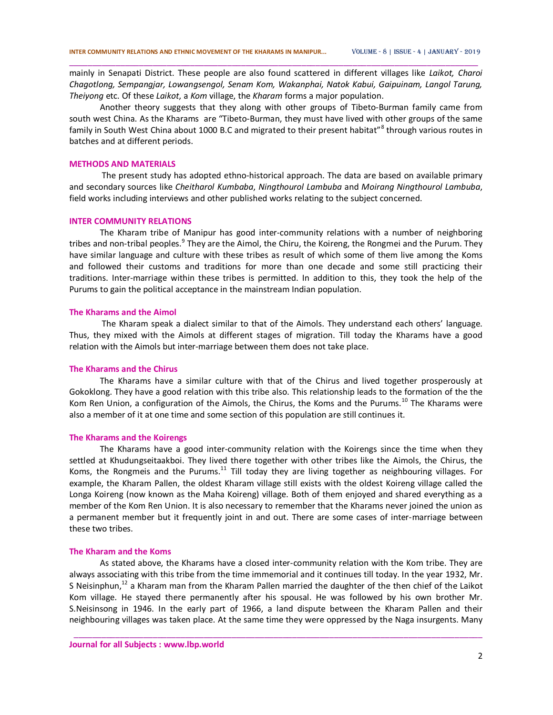mainly in Senapati District. These people are also found scattered in different villages like *Laikot, Charoi Chagotlong, Sempangjar, Lowangsengol, Senam Kom, Wakanphai, Natok Kabui, Gaipuinam, Langol Tarung, Theiyong* etc. Of these *Laikot*, a *Kom* village, the *Kharam* forms a major population.

\_\_\_\_\_\_\_\_\_\_\_\_\_\_\_\_\_\_\_\_\_\_\_\_\_\_\_\_\_\_\_\_\_\_\_\_\_\_\_\_\_\_\_\_\_\_\_\_\_\_\_\_\_\_\_\_\_\_\_\_\_\_\_\_\_\_\_\_\_\_\_\_\_\_\_\_\_\_\_\_\_\_\_\_\_\_\_\_

Another theory suggests that they along with other groups of Tibeto-Burman family came from south west China. As the Kharams are "Tibeto-Burman, they must have lived with other groups of the same family in South West China about 1000 B.C and migrated to their present habitat"<sup>8</sup> through various routes in batches and at different periods.

#### **METHODS AND MATERIALS**

The present study has adopted ethno-historical approach. The data are based on available primary and secondary sources like *Cheitharol Kumbaba*, *Ningthourol Lambuba* and *Moirang Ningthourol Lambuba*, field works including interviews and other published works relating to the subject concerned.

#### **INTER COMMUNITY RELATIONS**

The Kharam tribe of Manipur has good inter-community relations with a number of neighboring tribes and non-tribal peoples.<sup>9</sup> They are the Aimol, the Chiru, the Koireng, the Rongmei and the Purum. They have similar language and culture with these tribes as result of which some of them live among the Koms and followed their customs and traditions for more than one decade and some still practicing their traditions. Inter-marriage within these tribes is permitted. In addition to this, they took the help of the Purums to gain the political acceptance in the mainstream Indian population.

## **The Kharams and the Aimol**

The Kharam speak a dialect similar to that of the Aimols. They understand each others' language. Thus, they mixed with the Aimols at different stages of migration. Till today the Kharams have a good relation with the Aimols but inter-marriage between them does not take place.

### **The Kharams and the Chirus**

The Kharams have a similar culture with that of the Chirus and lived together prosperously at Gokoklong. They have a good relation with this tribe also. This relationship leads to the formation of the the Kom Ren Union, a configuration of the Aimols, the Chirus, the Koms and the Purums.<sup>10</sup> The Kharams were also a member of it at one time and some section of this population are still continues it.

#### **The Kharams and the Koirengs**

The Kharams have a good inter-community relation with the Koirengs since the time when they settled at Khudungseitaakboi. They lived there together with other tribes like the Aimols, the Chirus, the Koms, the Rongmeis and the Purums.<sup>11</sup> Till today they are living together as neighbouring villages. For example, the Kharam Pallen, the oldest Kharam village still exists with the oldest Koireng village called the Longa Koireng (now known as the Maha Koireng) village. Both of them enjoyed and shared everything as a member of the Kom Ren Union. It is also necessary to remember that the Kharams never joined the union as a permanent member but it frequently joint in and out. There are some cases of inter-marriage between these two tribes.

#### **The Kharam and the Koms**

As stated above, the Kharams have a closed inter-community relation with the Kom tribe. They are always associating with this tribe from the time immemorial and it continues till today. In the year 1932, Mr. S Neisinphun,<sup>12</sup> a Kharam man from the Kharam Pallen married the daughter of the then chief of the Laikot Kom village. He stayed there permanently after his spousal. He was followed by his own brother Mr. S.Neisinsong in 1946. In the early part of 1966, a land dispute between the Kharam Pallen and their neighbouring villages was taken place. At the same time they were oppressed by the Naga insurgents. Many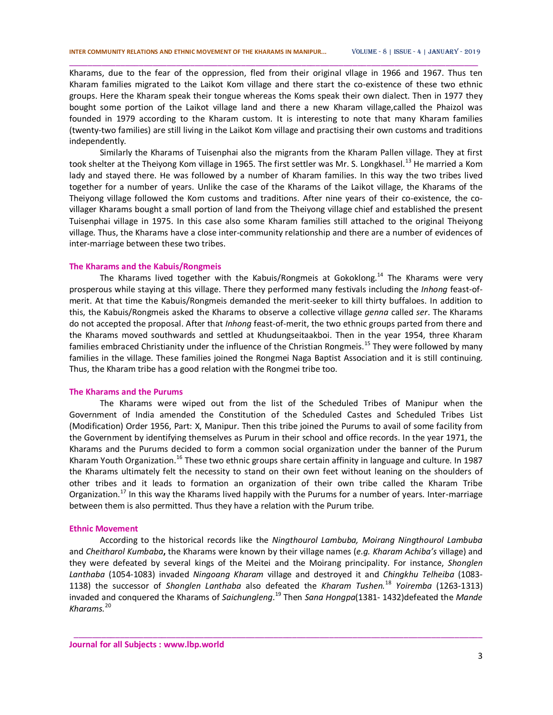Kharams, due to the fear of the oppression, fled from their original vllage in 1966 and 1967. Thus ten Kharam families migrated to the Laikot Kom village and there start the co-existence of these two ethnic groups. Here the Kharam speak their tongue whereas the Koms speak their own dialect. Then in 1977 they bought some portion of the Laikot village land and there a new Kharam village,called the Phaizol was founded in 1979 according to the Kharam custom. It is interesting to note that many Kharam families (twenty-two families) are still living in the Laikot Kom village and practising their own customs and traditions independently.

\_\_\_\_\_\_\_\_\_\_\_\_\_\_\_\_\_\_\_\_\_\_\_\_\_\_\_\_\_\_\_\_\_\_\_\_\_\_\_\_\_\_\_\_\_\_\_\_\_\_\_\_\_\_\_\_\_\_\_\_\_\_\_\_\_\_\_\_\_\_\_\_\_\_\_\_\_\_\_\_\_\_\_\_\_\_\_\_

Similarly the Kharams of Tuisenphai also the migrants from the Kharam Pallen village. They at first took shelter at the Theiyong Kom village in 1965. The first settler was Mr. S. Longkhasel.<sup>13</sup> He married a Kom lady and stayed there. He was followed by a number of Kharam families. In this way the two tribes lived together for a number of years. Unlike the case of the Kharams of the Laikot village, the Kharams of the Theiyong village followed the Kom customs and traditions. After nine years of their co-existence, the covillager Kharams bought a small portion of land from the Theiyong village chief and established the present Tuisenphai village in 1975. In this case also some Kharam families still attached to the original Theiyong village. Thus, the Kharams have a close inter-community relationship and there are a number of evidences of inter-marriage between these two tribes.

#### **The Kharams and the Kabuis/Rongmeis**

The Kharams lived together with the Kabuis/Rongmeis at Gokoklong.<sup>14</sup> The Kharams were very prosperous while staying at this village. There they performed many festivals including the *Inhong* feast-ofmerit. At that time the Kabuis/Rongmeis demanded the merit-seeker to kill thirty buffaloes. In addition to this, the Kabuis/Rongmeis asked the Kharams to observe a collective village *genna* called *ser*. The Kharams do not accepted the proposal. After that *Inhong* feast-of-merit, the two ethnic groups parted from there and the Kharams moved southwards and settled at Khudungseitaakboi. Then in the year 1954, three Kharam families embraced Christianity under the influence of the Christian Rongmeis.<sup>15</sup> They were followed by many families in the village. These families joined the Rongmei Naga Baptist Association and it is still continuing. Thus, the Kharam tribe has a good relation with the Rongmei tribe too.

### **The Kharams and the Purums**

The Kharams were wiped out from the list of the Scheduled Tribes of Manipur when the Government of India amended the Constitution of the Scheduled Castes and Scheduled Tribes List (Modification) Order 1956, Part: X, Manipur. Then this tribe joined the Purums to avail of some facility from the Government by identifying themselves as Purum in their school and office records. In the year 1971, the Kharams and the Purums decided to form a common social organization under the banner of the Purum Kharam Youth Organization.<sup>16</sup> These two ethnic groups share certain affinity in language and culture. In 1987 the Kharams ultimately felt the necessity to stand on their own feet without leaning on the shoulders of other tribes and it leads to formation an organization of their own tribe called the Kharam Tribe Organization.<sup>17</sup> In this way the Kharams lived happily with the Purums for a number of years. Inter-marriage between them is also permitted. Thus they have a relation with the Purum tribe.

#### **Ethnic Movement**

According to the historical records like the *Ningthourol Lambuba, Moirang Ningthourol Lambuba*  and *Cheitharol Kumbaba***,** the Kharams were known by their village names (*e.g. Kharam Achiba's* village) and they were defeated by several kings of the Meitei and the Moirang principality. For instance, *Shonglen Lanthaba* (1054-1083) invaded *Ningoang Kharam* village and destroyed it and *Chingkhu Telheiba* (1083- 1138) the successor of *Shonglen Lanthaba* also defeated the *Kharam Tushen.*<sup>18</sup> *Yoiremba* (1263-1313) invaded and conquered the Kharams of *Saichungleng*. <sup>19</sup> Then *Sana Hongpa*(1381- 1432)defeated the *Mande Kharams.*<sup>20</sup>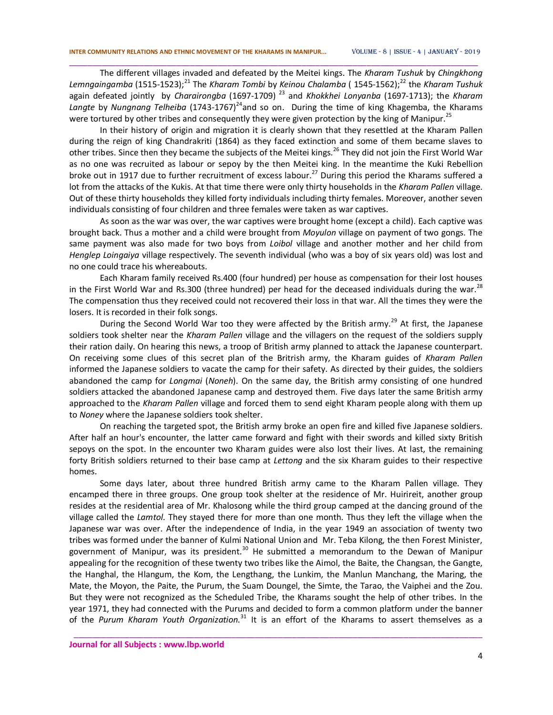The different villages invaded and defeated by the Meitei kings. The *Kharam Tushuk* by *Chingkhong Lemngaingamba* (1515-1523);<sup>21</sup> The *Kharam Tombi* by *Keinou Chalamba* (1545-1562);<sup>22</sup> the *Kharam Tushuk* again defeated jointly by *Charairongba* (1697-1709) <sup>23</sup> and *Khokkhei Lonyanba* (1697-1713); the *Kharam*  Langte by *Nungnang Telheiba* (1743-1767)<sup>24</sup>and so on. During the time of king Khagemba, the Kharams were tortured by other tribes and consequently they were given protection by the king of Manipur.<sup>25</sup>

\_\_\_\_\_\_\_\_\_\_\_\_\_\_\_\_\_\_\_\_\_\_\_\_\_\_\_\_\_\_\_\_\_\_\_\_\_\_\_\_\_\_\_\_\_\_\_\_\_\_\_\_\_\_\_\_\_\_\_\_\_\_\_\_\_\_\_\_\_\_\_\_\_\_\_\_\_\_\_\_\_\_\_\_\_\_\_\_

In their history of origin and migration it is clearly shown that they resettled at the Kharam Pallen during the reign of king Chandrakriti (1864) as they faced extinction and some of them became slaves to other tribes. Since then they became the subjects of the Meitei kings.<sup>26</sup> They did not join the First World War as no one was recruited as labour or sepoy by the then Meitei king. In the meantime the Kuki Rebellion broke out in 1917 due to further recruitment of excess labour.<sup>27</sup> During this period the Kharams suffered a lot from the attacks of the Kukis. At that time there were only thirty households in the *Kharam Pallen* village. Out of these thirty households they killed forty individuals including thirty females. Moreover, another seven individuals consisting of four children and three females were taken as war captives.

As soon as the war was over, the war captives were brought home (except a child). Each captive was brought back. Thus a mother and a child were brought from *Moyulon* village on payment of two gongs. The same payment was also made for two boys from *Loibol* village and another mother and her child from *Henglep Loingaiya* village respectively. The seventh individual (who was a boy of six years old) was lost and no one could trace his whereabouts.

Each Kharam family received Rs.400 (four hundred) per house as compensation for their lost houses in the First World War and Rs.300 (three hundred) per head for the deceased individuals during the war.<sup>28</sup> The compensation thus they received could not recovered their loss in that war. All the times they were the losers. It is recorded in their folk songs.

During the Second World War too they were affected by the British army.<sup>29</sup> At first, the Japanese soldiers took shelter near the *Kharam Pallen* village and the villagers on the request of the soldiers supply their ration daily. On hearing this news, a troop of British army planned to attack the Japanese counterpart. On receiving some clues of this secret plan of the Britrish army, the Kharam guides of *Kharam Pallen*  informed the Japanese soldiers to vacate the camp for their safety. As directed by their guides, the soldiers abandoned the camp for *Longmai* (*Noneh*). On the same day, the British army consisting of one hundred soldiers attacked the abandoned Japanese camp and destroyed them. Five days later the same British army approached to the *Kharam Pallen* village and forced them to send eight Kharam people along with them up to *Noney* where the Japanese soldiers took shelter.

On reaching the targeted spot, the British army broke an open fire and killed five Japanese soldiers. After half an hour's encounter, the latter came forward and fight with their swords and killed sixty British sepoys on the spot. In the encounter two Kharam guides were also lost their lives. At last, the remaining forty British soldiers returned to their base camp at *Lettong* and the six Kharam guides to their respective homes.

Some days later, about three hundred British army came to the Kharam Pallen village. They encamped there in three groups. One group took shelter at the residence of Mr. Huirireit, another group resides at the residential area of Mr. Khalosong while the third group camped at the dancing ground of the village called the *Lamtol.* They stayed there for more than one month. Thus they left the village when the Japanese war was over. After the independence of India, in the year 1949 an association of twenty two tribes was formed under the banner of Kulmi National Union and Mr. Teba Kilong, the then Forest Minister, government of Manipur, was its president.<sup>30</sup> He submitted a memorandum to the Dewan of Manipur appealing for the recognition of these twenty two tribes like the Aimol, the Baite, the Changsan, the Gangte, the Hanghal, the Hlangum, the Kom, the Lengthang, the Lunkim, the Manlun Manchang, the Maring, the Mate, the Moyon, the Paite, the Purum, the Suam Doungel, the Simte, the Tarao, the Vaiphei and the Zou. But they were not recognized as the Scheduled Tribe, the Kharams sought the help of other tribes. In the year 1971, they had connected with the Purums and decided to form a common platform under the banner of the *Purum Kharam Youth Organization*.<sup>31</sup> It is an effort of the Kharams to assert themselves as a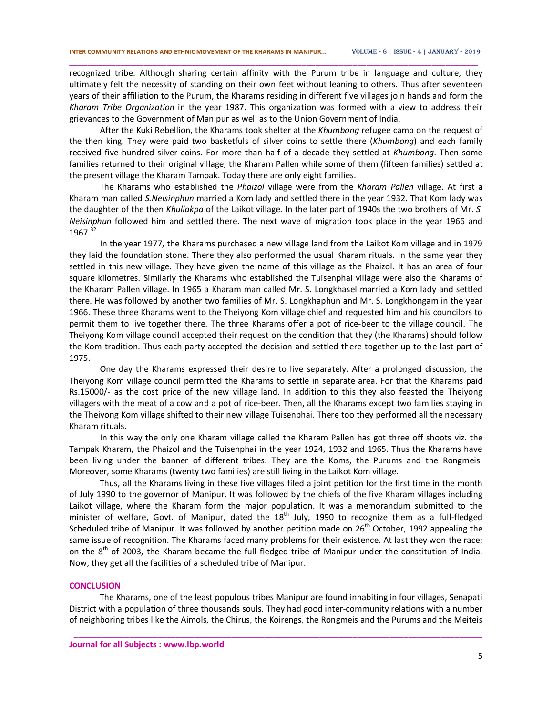recognized tribe. Although sharing certain affinity with the Purum tribe in language and culture, they ultimately felt the necessity of standing on their own feet without leaning to others. Thus after seventeen years of their affiliation to the Purum, the Kharams residing in different five villages join hands and form the *Kharam Tribe Organization* in the year 1987. This organization was formed with a view to address their grievances to the Government of Manipur as well as to the Union Government of India.

\_\_\_\_\_\_\_\_\_\_\_\_\_\_\_\_\_\_\_\_\_\_\_\_\_\_\_\_\_\_\_\_\_\_\_\_\_\_\_\_\_\_\_\_\_\_\_\_\_\_\_\_\_\_\_\_\_\_\_\_\_\_\_\_\_\_\_\_\_\_\_\_\_\_\_\_\_\_\_\_\_\_\_\_\_\_\_\_

After the Kuki Rebellion, the Kharams took shelter at the *Khumbong* refugee camp on the request of the then king. They were paid two basketfuls of silver coins to settle there (*Khumbong*) and each family received five hundred silver coins. For more than half of a decade they settled at *Khumbong*. Then some families returned to their original village, the Kharam Pallen while some of them (fifteen families) settled at the present village the Kharam Tampak. Today there are only eight families.

The Kharams who established the *Phaizol* village were from the *Kharam Pallen* village. At first a Kharam man called *S.Neisinphun* married a Kom lady and settled there in the year 1932. That Kom lady was the daughter of the then *Khullakpa* of the Laikot village. In the later part of 1940s the two brothers of Mr. *S. Neisinphun* followed him and settled there. The next wave of migration took place in the year 1966 and  $1967.<sup>32</sup>$ 

In the year 1977, the Kharams purchased a new village land from the Laikot Kom village and in 1979 they laid the foundation stone. There they also performed the usual Kharam rituals. In the same year they settled in this new village. They have given the name of this village as the Phaizol. It has an area of four square kilometres. Similarly the Kharams who established the Tuisenphai village were also the Kharams of the Kharam Pallen village. In 1965 a Kharam man called Mr. S. Longkhasel married a Kom lady and settled there. He was followed by another two families of Mr. S. Longkhaphun and Mr. S. Longkhongam in the year 1966. These three Kharams went to the Theiyong Kom village chief and requested him and his councilors to permit them to live together there. The three Kharams offer a pot of rice-beer to the village council. The Theiyong Kom village council accepted their request on the condition that they (the Kharams) should follow the Kom tradition. Thus each party accepted the decision and settled there together up to the last part of 1975.

One day the Kharams expressed their desire to live separately. After a prolonged discussion, the Theiyong Kom village council permitted the Kharams to settle in separate area. For that the Kharams paid Rs.15000/- as the cost price of the new village land. In addition to this they also feasted the Theiyong villagers with the meat of a cow and a pot of rice-beer. Then, all the Kharams except two families staying in the Theiyong Kom village shifted to their new village Tuisenphai. There too they performed all the necessary Kharam rituals.

In this way the only one Kharam village called the Kharam Pallen has got three off shoots viz. the Tampak Kharam, the Phaizol and the Tuisenphai in the year 1924, 1932 and 1965. Thus the Kharams have been living under the banner of different tribes. They are the Koms, the Purums and the Rongmeis. Moreover, some Kharams (twenty two families) are still living in the Laikot Kom village.

Thus, all the Kharams living in these five villages filed a joint petition for the first time in the month of July 1990 to the governor of Manipur. It was followed by the chiefs of the five Kharam villages including Laikot village, where the Kharam form the major population. It was a memorandum submitted to the minister of welfare, Govt. of Manipur, dated the  $18<sup>th</sup>$  July, 1990 to recognize them as a full-fledged Scheduled tribe of Manipur. It was followed by another petition made on 26<sup>th</sup> October, 1992 appealing the same issue of recognition. The Kharams faced many problems for their existence. At last they won the race; on the  $8<sup>th</sup>$  of 2003, the Kharam became the full fledged tribe of Manipur under the constitution of India. Now, they get all the facilities of a scheduled tribe of Manipur.

#### **CONCLUSION**

The Kharams, one of the least populous tribes Manipur are found inhabiting in four villages, Senapati District with a population of three thousands souls. They had good inter-community relations with a number of neighboring tribes like the Aimols, the Chirus, the Koirengs, the Rongmeis and the Purums and the Meiteis